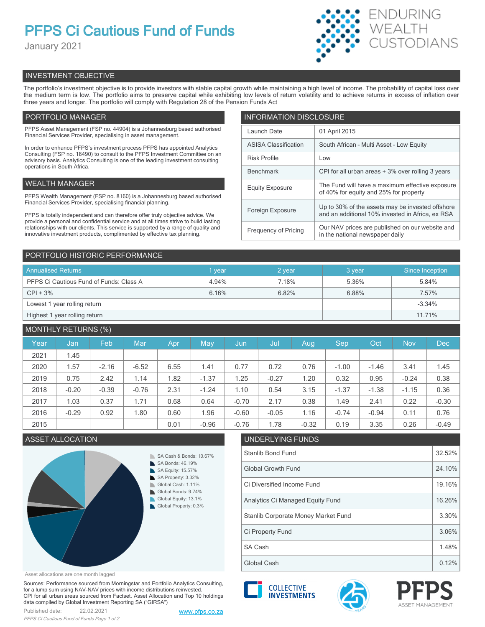# **PFPS Ci Cautious Fund of Funds**

January 2021



# INVESTMENT OBJECTIVE

The portfolio's investment objective is to provide investors with stable capital growth while maintaining a high level of income. The probability of capital loss over the medium term is low. The portfolio aims to preserve capital while exhibiting low levels of return volatility and to achieve returns in excess of inflation over three years and longer. The portfolio will comply with Regulation 28 of the Pension Funds Act

# PORTFOLIO MANAGER

PFPS Asset Management (FSP no. 44904) is a Johannesburg based authorised Financial Services Provider, specialising in asset management.

In order to enhance PFPS's investment process PFPS has appointed Analytics Consulting (FSP no. 18490) to consult to the PFPS Investment Committee on an advisory basis. Analytics Consulting is one of the leading investment consulting operations in South Africa.

# WEALTH MANAGER

PFPS Wealth Management (FSP no. 8160) is a Johannesburg based authorised Financial Services Provider, specialising financial planning.

PFPS is totally independent and can therefore offer truly objective advice. We provide a personal and confidential service and at all times strive to build lasting relationships with our clients. This service is supported by a range of quality and innovative investment products, complimented by effective tax planning.

| <b>INFORMATION DISCLOSURE</b> |                                                                                                      |  |  |  |  |  |
|-------------------------------|------------------------------------------------------------------------------------------------------|--|--|--|--|--|
| Launch Date                   | 01 April 2015                                                                                        |  |  |  |  |  |
| <b>ASISA Classification</b>   | South African - Multi Asset - Low Equity                                                             |  |  |  |  |  |
| <b>Risk Profile</b>           | Low                                                                                                  |  |  |  |  |  |
| <b>Benchmark</b>              | CPI for all urban areas + 3% over rolling 3 years                                                    |  |  |  |  |  |
| <b>Equity Exposure</b>        | The Fund will have a maximum effective exposure<br>of 40% for equity and 25% for property            |  |  |  |  |  |
| Foreign Exposure              | Up to 30% of the assets may be invested offshore<br>and an additional 10% invested in Africa, ex RSA |  |  |  |  |  |
| <b>Frequency of Pricing</b>   | Our NAV prices are published on our website and<br>in the national newspaper daily                   |  |  |  |  |  |

# PORTFOLIO HISTORIC PERFORMANCE

| <b>Annualised Returns</b>               | vear  | 2 year | 3 year | Since Inception |
|-----------------------------------------|-------|--------|--------|-----------------|
| PFPS Ci Cautious Fund of Funds: Class A | 4.94% | 7.18%  | 5.36%  | 5.84%           |
| $CPI + 3%$                              | 6.16% | 6.82%  | 6.88%  | 7.57%           |
| Lowest 1 year rolling return            |       |        |        | $-3.34%$        |
| Highest 1 year rolling return           |       |        |        | 11.71%          |

# MONTHLY RETURNS (%)

|      |         | $\sqrt{2}$ |         |            |         |         |         |         |         |         |            |            |
|------|---------|------------|---------|------------|---------|---------|---------|---------|---------|---------|------------|------------|
| Year | Jan     | Feb        | Mar     | <b>Apr</b> | May     | Jun     | Jul     | Aug     | Sep     | Oct     | <b>Nov</b> | <b>Dec</b> |
| 2021 | 1.45    |            |         |            |         |         |         |         |         |         |            |            |
| 2020 | 1.57    | $-2.16$    | $-6.52$ | 6.55       | 1.41    | 0.77    | 0.72    | 0.76    | $-1.00$ | $-1.46$ | 3.41       | 1.45       |
| 2019 | 0.75    | 2.42       | 1.14    | 1.82       | $-1.37$ | 1.25    | $-0.27$ | 1.20    | 0.32    | 0.95    | $-0.24$    | 0.38       |
| 2018 | $-0.20$ | $-0.39$    | $-0.76$ | 2.31       | $-1.24$ | 1.10    | 0.54    | 3.15    | $-1.37$ | $-1.38$ | $-1.15$    | 0.36       |
| 2017 | 1.03    | 0.37       | 1.71    | 0.68       | 0.64    | $-0.70$ | 2.17    | 0.38    | 1.49    | 2.41    | 0.22       | $-0.30$    |
| 2016 | $-0.29$ | 0.92       | 1.80    | 0.60       | 1.96    | $-0.60$ | $-0.05$ | 1.16    | $-0.74$ | $-0.94$ | 0.11       | 0.76       |
| 2015 |         |            |         | 0.01       | $-0.96$ | $-0.76$ | 1.78    | $-0.32$ | 0.19    | 3.35    | 0.26       | $-0.49$    |

## ASSET ALLOCATION UNDERLYING FUNDS



# Stanlib Bond Fund 32.52% Global Growth Fund 24.10% Ci Diversified Income Fund 19.16% Analytics Ci Managed Equity Fund 16.26%



Asset allocations are one month lagged

Sources: Performance sourced from Morningstar and Portfolio Analytics Consulting, for a lump sum using NAV-NAV prices with income distributions reinvested. CPI for all urban areas sourced from Factset. Asset Allocation and Top 10 holdings data compiled by Global Investment Reporting SA ("GIRSA")